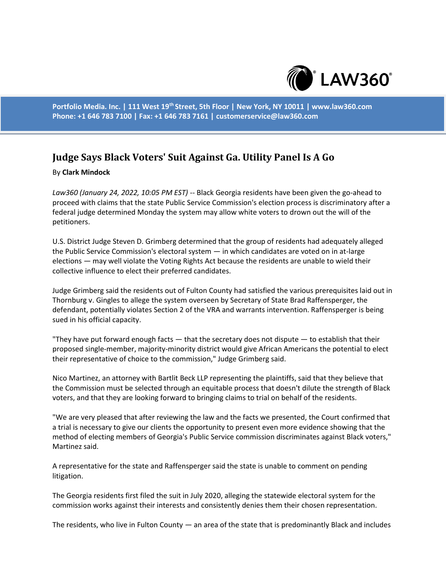

**Portfolio Media. Inc. | 111 West 19th Street, 5th Floor | New York, NY 10011 | www.law360.com Phone: +1 646 783 7100 | Fax: +1 646 783 7161 | customerservice@law360.com**

## **Judge Says Black Voters' Suit Against Ga. Utility Panel Is A Go**

## By **Clark Mindock**

*Law360 (January 24, 2022, 10:05 PM EST)* -- Black Georgia residents have been given the go-ahead to proceed with claims that the state Public Service Commission's election process is discriminatory after a federal judge determined Monday the system may allow white voters to drown out the will of the petitioners.

U.S. District Judge Steven D. Grimberg determined that the group of residents had adequately alleged the Public Service Commission's electoral system — in which candidates are voted on in at-large elections — may well violate the Voting Rights Act because the residents are unable to wield their collective influence to elect their preferred candidates.

Judge Grimberg said the residents out of Fulton County had satisfied the various prerequisites laid out in Thornburg v. Gingles to allege the system overseen by Secretary of State Brad Raffensperger, the defendant, potentially violates Section 2 of the VRA and warrants intervention. Raffensperger is being sued in his official capacity.

"They have put forward enough facts  $-$  that the secretary does not dispute  $-$  to establish that their proposed single-member, majority-minority district would give African Americans the potential to elect their representative of choice to the commission," Judge Grimberg said.

Nico Martinez, an attorney with Bartlit Beck LLP representing the plaintiffs, said that they believe that the Commission must be selected through an equitable process that doesn't dilute the strength of Black voters, and that they are looking forward to bringing claims to trial on behalf of the residents.

"We are very pleased that after reviewing the law and the facts we presented, the Court confirmed that a trial is necessary to give our clients the opportunity to present even more evidence showing that the method of electing members of Georgia's Public Service commission discriminates against Black voters," Martinez said.

A representative for the state and Raffensperger said the state is unable to comment on pending litigation.

The Georgia residents first filed the suit in July 2020, alleging the statewide electoral system for the commission works against their interests and consistently denies them their chosen representation.

The residents, who live in Fulton County — an area of the state that is predominantly Black and includes